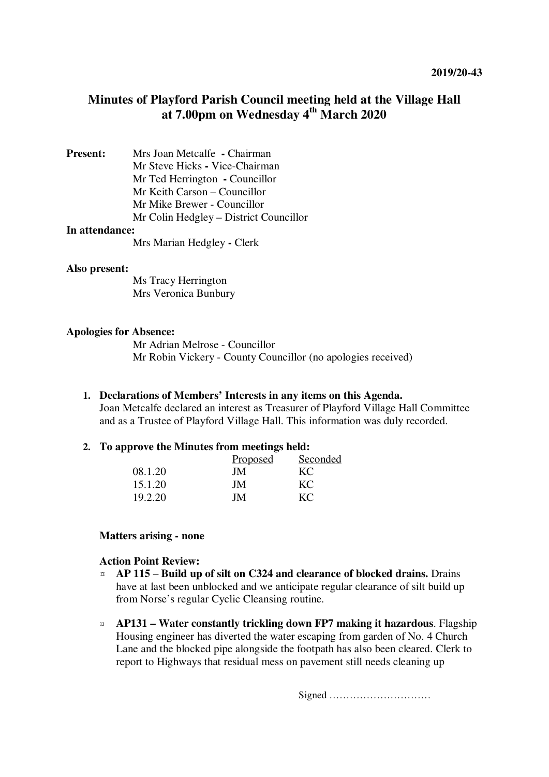# **Minutes of Playford Parish Council meeting held at the Village Hall at 7.00pm on Wednesday 4th March 2020**

**Present:** Mrs Joan Metcalfe **-** Chairman Mr Steve Hicks **-** Vice-Chairman Mr Ted Herrington **-** Councillor Mr Keith Carson – Councillor Mr Mike Brewer - Councillor Mr Colin Hedgley – District Councillor

### **In attendance:**

Mrs Marian Hedgley **-** Clerk

#### **Also present:**

Ms Tracy Herrington Mrs Veronica Bunbury

#### **Apologies for Absence:**

Mr Adrian Melrose - Councillor Mr Robin Vickery - County Councillor (no apologies received)

#### **1. Declarations of Members' Interests in any items on this Agenda.**

Joan Metcalfe declared an interest as Treasurer of Playford Village Hall Committee and as a Trustee of Playford Village Hall. This information was duly recorded.

#### **2. To approve the Minutes from meetings held:**

|         | Proposed | Seconded |
|---------|----------|----------|
| 08.1.20 | JM.      | KС       |
| 15.1.20 | JM.      | KC       |
| 19.2.20 | JΜ       | KС       |

#### **Matters arising - none**

#### **Action Point Review:**

- ¤ **AP 115 Build up of silt on C324 and clearance of blocked drains.** Drains have at last been unblocked and we anticipate regular clearance of silt build up from Norse's regular Cyclic Cleansing routine.
- ¤ **AP131 – Water constantly trickling down FP7 making it hazardous**. Flagship Housing engineer has diverted the water escaping from garden of No. 4 Church Lane and the blocked pipe alongside the footpath has also been cleared. Clerk to report to Highways that residual mess on pavement still needs cleaning up

Signed …………………………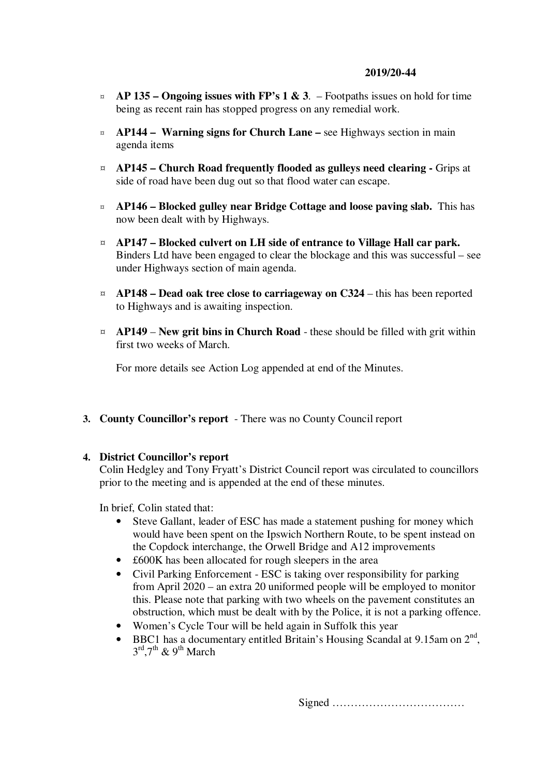### **2019/20-44**

- $\alpha$  **AP 135 Ongoing issues with FP's 1 & 3**. Footpaths issues on hold for time being as recent rain has stopped progress on any remedial work.
- ¤ **AP144 Warning signs for Church Lane** see Highways section in main agenda items
- ¤ **AP145 Church Road frequently flooded as gulleys need clearing** Grips at side of road have been dug out so that flood water can escape.
- ¤ **AP146 Blocked gulley near Bridge Cottage and loose paving slab.** This has now been dealt with by Highways.
- ¤ **AP147 Blocked culvert on LH side of entrance to Village Hall car park.** Binders Ltd have been engaged to clear the blockage and this was successful – see under Highways section of main agenda.
- ¤ **AP148 – Dead oak tree close to carriageway on C324** this has been reported to Highways and is awaiting inspection.
- ¤ **AP149 New grit bins in Church Road** these should be filled with grit within first two weeks of March.

For more details see Action Log appended at end of the Minutes.

**3. County Councillor's report** - There was no County Council report

### **4. District Councillor's report**

Colin Hedgley and Tony Fryatt's District Council report was circulated to councillors prior to the meeting and is appended at the end of these minutes.

In brief, Colin stated that:

- Steve Gallant, leader of ESC has made a statement pushing for money which would have been spent on the Ipswich Northern Route, to be spent instead on the Copdock interchange, the Orwell Bridge and A12 improvements
- £600K has been allocated for rough sleepers in the area
- Civil Parking Enforcement ESC is taking over responsibility for parking from April 2020 – an extra 20 uniformed people will be employed to monitor this. Please note that parking with two wheels on the pavement constitutes an obstruction, which must be dealt with by the Police, it is not a parking offence.
- Women's Cycle Tour will be held again in Suffolk this year
- BBC1 has a documentary entitled Britain's Housing Scandal at 9.15am on  $2<sup>nd</sup>$ ,  $3^{\text{rd}}, 7^{\text{th}}$  &  $9^{\text{th}}$  March

Signed ………………………………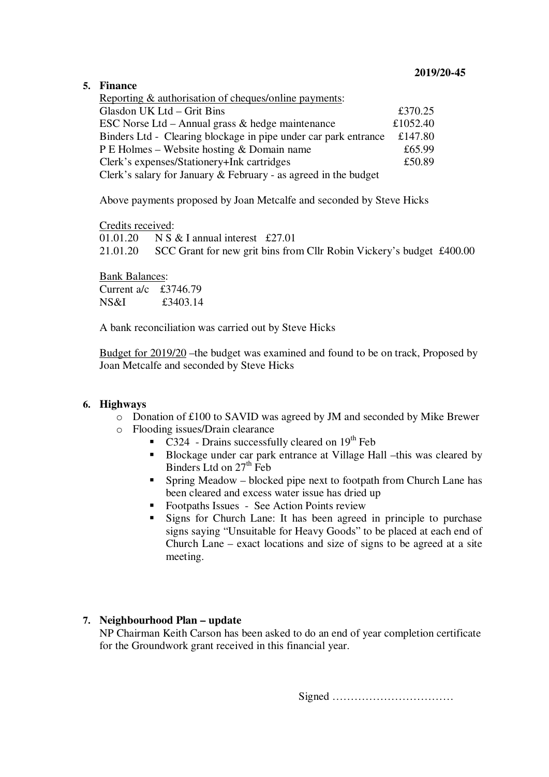### **5. Finance**

| Reporting & authorisation of cheques/online payments:             |         |  |  |
|-------------------------------------------------------------------|---------|--|--|
| Glasdon UK Ltd - Grit Bins                                        | £370.25 |  |  |
| ESC Norse Ltd – Annual grass $\&$ hedge maintenance               |         |  |  |
| Binders Ltd - Clearing blockage in pipe under car park entrance   |         |  |  |
| P E Holmes – Website hosting & Domain name                        |         |  |  |
| Clerk's expenses/Stationery+Ink cartridges                        |         |  |  |
| Clerk's salary for January $&$ February - as agreed in the budget |         |  |  |

Above payments proposed by Joan Metcalfe and seconded by Steve Hicks

Credits received:

01.01.20 N S & I annual interest £27.01 21.01.20 SCC Grant for new grit bins from Cllr Robin Vickery's budget £400.00

Bank Balances: Current a/c £3746.79 NS&I £3403.14

A bank reconciliation was carried out by Steve Hicks

Budget for 2019/20 –the budget was examined and found to be on track, Proposed by Joan Metcalfe and seconded by Steve Hicks

## **6. Highways**

- o Donation of £100 to SAVID was agreed by JM and seconded by Mike Brewer
- o Flooding issues/Drain clearance
	- C324 Drains successfully cleared on  $19<sup>th</sup>$  Feb
	- Blockage under car park entrance at Village Hall –this was cleared by Binders Ltd on  $27<sup>th</sup>$  Feb
	- **Spring Meadow blocked pipe next to footpath from Church Lane has** been cleared and excess water issue has dried up
	- Footpaths Issues See Action Points review
	- Signs for Church Lane: It has been agreed in principle to purchase signs saying "Unsuitable for Heavy Goods" to be placed at each end of Church Lane – exact locations and size of signs to be agreed at a site meeting.

## **7. Neighbourhood Plan – update**

NP Chairman Keith Carson has been asked to do an end of year completion certificate for the Groundwork grant received in this financial year.

Signed ……………………………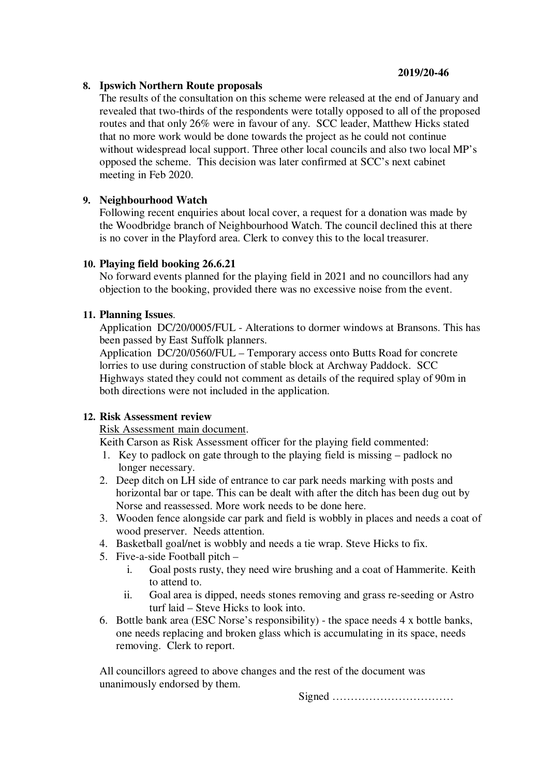### **8. Ipswich Northern Route proposals**

The results of the consultation on this scheme were released at the end of January and revealed that two-thirds of the respondents were totally opposed to all of the proposed routes and that only 26% were in favour of any. SCC leader, Matthew Hicks stated that no more work would be done towards the project as he could not continue without widespread local support. Three other local councils and also two local MP's opposed the scheme. This decision was later confirmed at SCC's next cabinet meeting in Feb 2020.

## **9. Neighbourhood Watch**

Following recent enquiries about local cover, a request for a donation was made by the Woodbridge branch of Neighbourhood Watch. The council declined this at there is no cover in the Playford area. Clerk to convey this to the local treasurer.

## **10. Playing field booking 26.6.21**

No forward events planned for the playing field in 2021 and no councillors had any objection to the booking, provided there was no excessive noise from the event.

## **11. Planning Issues**.

Application DC/20/0005/FUL - Alterations to dormer windows at Bransons. This has been passed by East Suffolk planners.

Application DC/20/0560/FUL – Temporary access onto Butts Road for concrete lorries to use during construction of stable block at Archway Paddock. SCC Highways stated they could not comment as details of the required splay of 90m in both directions were not included in the application.

## **12. Risk Assessment review**

Risk Assessment main document.

Keith Carson as Risk Assessment officer for the playing field commented:

- 1. Key to padlock on gate through to the playing field is missing padlock no longer necessary.
- 2. Deep ditch on LH side of entrance to car park needs marking with posts and horizontal bar or tape. This can be dealt with after the ditch has been dug out by Norse and reassessed. More work needs to be done here.
- 3. Wooden fence alongside car park and field is wobbly in places and needs a coat of wood preserver. Needs attention.
- 4. Basketball goal/net is wobbly and needs a tie wrap. Steve Hicks to fix.
- 5. Five-a-side Football pitch
	- i. Goal posts rusty, they need wire brushing and a coat of Hammerite. Keith to attend to.
	- ii. Goal area is dipped, needs stones removing and grass re-seeding or Astro turf laid – Steve Hicks to look into.
- 6. Bottle bank area (ESC Norse's responsibility) the space needs 4 x bottle banks, one needs replacing and broken glass which is accumulating in its space, needs removing. Clerk to report.

All councillors agreed to above changes and the rest of the document was unanimously endorsed by them.

Signed ……………………………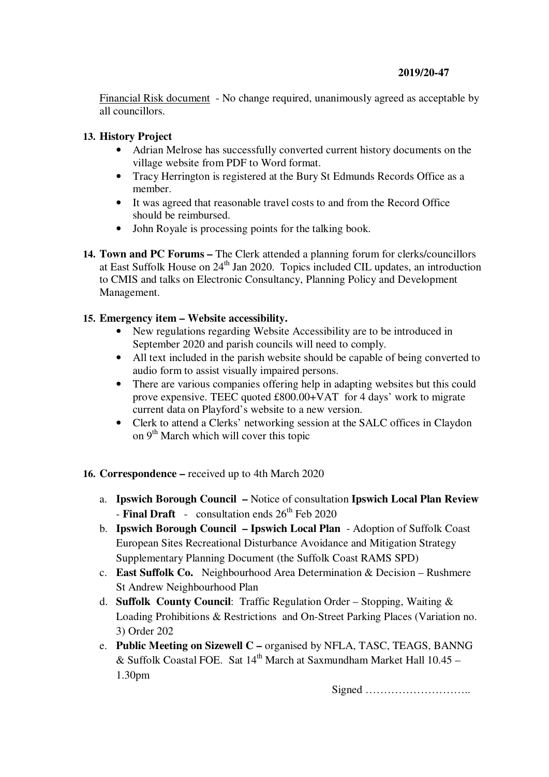## **2019/20-47**

Financial Risk document - No change required, unanimously agreed as acceptable by all councillors.

## **13. History Project**

- Adrian Melrose has successfully converted current history documents on the village website from PDF to Word format.
- Tracy Herrington is registered at the Bury St Edmunds Records Office as a member.
- It was agreed that reasonable travel costs to and from the Record Office should be reimbursed.
- John Royale is processing points for the talking book.
- **14. Town and PC Forums** The Clerk attended a planning forum for clerks/councillors at East Suffolk House on 24<sup>th</sup> Jan 2020. Topics included CIL updates, an introduction to CMIS and talks on Electronic Consultancy, Planning Policy and Development Management.

### **15. Emergency item – Website accessibility.**

- New regulations regarding Website Accessibility are to be introduced in September 2020 and parish councils will need to comply.
- All text included in the parish website should be capable of being converted to audio form to assist visually impaired persons.
- There are various companies offering help in adapting websites but this could prove expensive. TEEC quoted £800.00+VAT for 4 days' work to migrate current data on Playford's website to a new version.
- Clerk to attend a Clerks' networking session at the SALC offices in Claydon on  $9<sup>th</sup>$  March which will cover this topic

## **16. Correspondence –** received up to 4th March 2020

- a. **Ipswich Borough Council** Notice of consultation **Ipswich Local Plan Review**  $-$  **Final Draft**  $-$  consultation ends  $26<sup>th</sup>$  Feb 2020
- b. **Ipswich Borough Council Ipswich Local Plan** Adoption of Suffolk Coast European Sites Recreational Disturbance Avoidance and Mitigation Strategy Supplementary Planning Document (the Suffolk Coast RAMS SPD)
- c. **East Suffolk Co.** Neighbourhood Area Determination & Decision Rushmere St Andrew Neighbourhood Plan
- d. **Suffolk County Council**: Traffic Regulation Order Stopping, Waiting & Loading Prohibitions & Restrictions and On-Street Parking Places (Variation no. 3) Order 202
- e. **Public Meeting on Sizewell C** organised by NFLA, TASC, TEAGS, BANNG & Suffolk Coastal FOE. Sat  $14<sup>th</sup>$  March at Saxmundham Market Hall  $10.45 -$ 1.30pm

Signed ………………………..